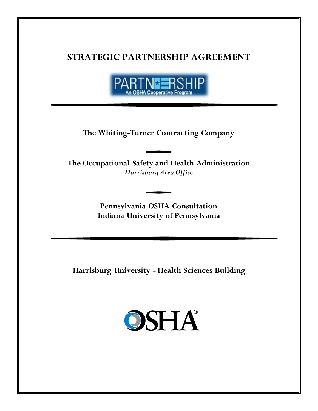# **STRATEGIC PARTNERSHIP AGREEMENT**



**The Whiting-Turner Contracting Company**

**The Occupational Safety and Health Administration** *Harrisburg Area Office*

> **Pennsylvania OSHA Consultation Indiana University of Pennsylvania**

**Harrisburg University - Health Sciences Building** 

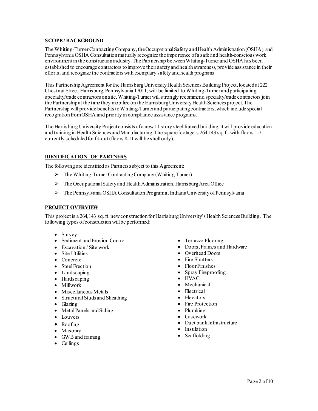# **SCOPE / BACKGROUND**

The Whiting-Turner Contracting Company, the Occupational Safety and Health Administration (OSHA), and Pennsylvania OSHA Consultation mutually recognize the importance of a safe and health-conscious work environment in the construction industry. The Partnership between Whiting-Turner and OSHA has been established to encourage contractors to improve their safety and health awareness, provide assistance in their efforts, and recognize the contractors with exemplary safety and health programs.

This Partnership Agreement for the Harrisburg University Health Sciences Building Project, located at 222 Chestnut Street, Harrisburg, Pennsylvania 17011, will be limited to Whiting-Turner and participating specialty/trade contractors on site. Whiting-Turner will strongly recommend specialty/trade contractors join the Partnership at the time they mobilize on the Harrisburg University Health Sciences project. The Partnership will provide benefits to Whiting-Turner and participatingcontractors, which include special recognition from OSHA and priority in compliance assistance programs.

The Harrisburg University Project consists of a new 11 story steel-framed building. It will provide education and training in Health Sciences and Manufacturing. The square footage is 264,143 sq. ft. with floors 1-7 currently scheduled for fit-out (floors 8-11 will be shell only).

# **IDENTIFICATION OF PARTNERS**

The following are identified as Partners subject to this Agreement:

- $\triangleright$  The Whiting-Turner Contracting Company (Whiting-Turner)
- $\triangleright$  The Occupational Safety and Health Administration, Harrisburg Area Office
- $\triangleright$  The Pennsylvania OSHA Consultation Programat Indiana University of Pennsylvania

#### **PROJECT OVERVIEW**

This project is a 264,143 sq. ft. new construction for Harrisburg University's Health Sciences Building. The following types of construction will be performed:

- Survey
- Sediment and Erosion Control
- Excavation / Site work
- Site Utilities
- Concrete
- Steel Erection
- Landscaping
- Hardscaping
- Millwork
- Miscellaneous Metals
- Structural Studs and Sheathing
- Glazing
- Metal Panels and Siding
- Louvers
- Roofing
- Masonry
- GWB and framing
- Ceilings
- Terrazzo Flooring
- Doors, Frames and Hardware
- Overhead Doors
- Fire Shutters
- Floor Finishes
- Spray Fireproofing
- HVAC
- Mechanical
- Electrical
- Elevators
- Fire Protection
- Plumbing
- Casework
- Duct bank Infrastructure
- Insulation
- Scaffolding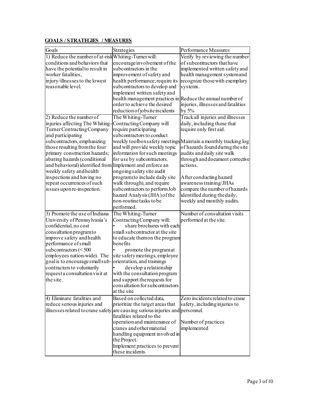# **GOALS / STRATEGIES / MEASURES**

| Goals                                                    | Strategies                                                                    | Performance Measures                                          |
|----------------------------------------------------------|-------------------------------------------------------------------------------|---------------------------------------------------------------|
| 1) Reduce the number of at-risk Whiting-Turner will:     |                                                                               | Verify by reviewing the number                                |
| conditions and behaviors that                            | encourage involvement of the                                                  | of subcontractors that have                                   |
| have the potential to result in                          | subcontractors in the                                                         | implemented written safety and                                |
| worker fatalities,                                       | improvement of safety and                                                     | health management system and                                  |
| injury/illnesses to the lowest                           | health performance; require its                                               | recognize those with exemplary                                |
| reasonable level.                                        | subcontractors to develop and                                                 | systems.                                                      |
|                                                          | implement written safety and                                                  |                                                               |
|                                                          | health management practices in Reduce the annual number of                    |                                                               |
|                                                          | order to achieve the desired                                                  | injuries, illnesses and fatalities                            |
|                                                          | reduction of jobs ite incidents                                               | by $5\%$                                                      |
| 2) Reduce the number of                                  | The Whiting-Turner                                                            | Track all injuries and illnesses                              |
| injuries affecting The Whiting-Contracting Company will  |                                                                               | daily, including those that                                   |
| Turner Contracting Company                               | require participating                                                         | require only first aid.                                       |
| and participating                                        | subcontractors to conduct                                                     |                                                               |
| subcontractors, emphasizing                              |                                                                               | weekly toolboxsafety meetings Maintain a monthly tracking log |
| those resulting from the four                            | and will provide weekly topic                                                 | of hazards found during the site                              |
| primary construction hazards;                            | information for such meetings                                                 | audits and daily site walk                                    |
| abating hazards (conditional                             | for use by subcontractors.                                                    | through and document corrective                               |
| and behavioral) identified from Implement and enforce an |                                                                               | actions.                                                      |
| weekly safety and health                                 | ongoing safety site audit                                                     |                                                               |
| inspections and having no                                | program(to include daily site                                                 | After conducting hazard                                       |
| repeat occurrences of such                               | walk through), and require                                                    | awareness training/JHAs                                       |
| is sues upon re-inspection.                              | subcontractors to perform Job                                                 | compare the number of hazards                                 |
|                                                          | hazard Analysis (JHA) of the                                                  | identified during the daily,                                  |
|                                                          | non-routine tasks to be                                                       | weekly and monthly audits.                                    |
|                                                          | performed.                                                                    |                                                               |
| 3) Promote the use of Indiana                            | The Whiting-Turner                                                            | Number of consultation visits                                 |
| University of Pennsylvania's                             | Contracting Company will:                                                     | performed at the site.                                        |
| confidential, no cost                                    | share brochures with each                                                     |                                                               |
| consultation program to                                  | small subcontractor at the site                                               |                                                               |
| improve safety and health                                | to educate themon the program                                                 |                                                               |
| performance of small                                     | benefits                                                                      |                                                               |
| subcontractors $(<500$                                   | promote the programat                                                         |                                                               |
| employees nation-wide). The                              | site safety meetings, employee                                                |                                                               |
| goal is to encourage small sub-                          | orientation, and trainings                                                    |                                                               |
| contractors to voluntarily                               | develop a relationship                                                        |                                                               |
| requesta consultation visit at                           | with the consultation program                                                 |                                                               |
| the site.                                                | and support the requests for                                                  |                                                               |
|                                                          | consultation for subcontractors                                               |                                                               |
|                                                          | at the site                                                                   |                                                               |
| 4) Eliminate fatalities and                              | Based on collected data,                                                      | Zero incidents related to crane                               |
| reduce serious injuries and                              | prioritize the target areas that                                              | safety, including injuries to                                 |
|                                                          | illnesses related to crane safety are causing serious injuries and personnel. |                                                               |
|                                                          | fatalities related to the                                                     |                                                               |
|                                                          | operation and maintenance of                                                  | Number of practices                                           |
|                                                          | cranes and other material                                                     | implemented                                                   |
|                                                          | handling equipment involved in                                                |                                                               |
|                                                          | the Project.                                                                  |                                                               |
|                                                          | Implement practices to prevent<br>these incidents.                            |                                                               |
|                                                          |                                                                               |                                                               |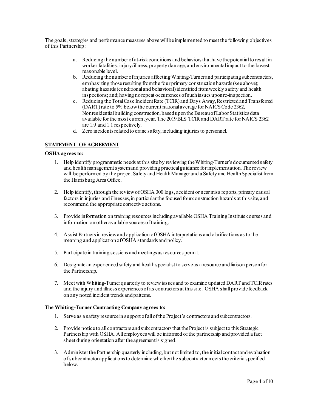The goals, strategies and performance measures above will be implemented to meet the following objectives of this Partnership:

- a. Reducing the number of at-risk conditions and behaviors that have the potential to result in worker fatalities, injury/illness, property damage, and environmental impact to the lowest reasonable level.
- b. Reducing the number of injuries affecting Whiting-Turner and participating subcontractors, emphasizing those resulting from the four primary construction hazards (see above); abating hazards (conditional and behavioral) identified from weekly safety and health inspections; and; having no repeat occurrences of such issues upon re-inspection.
- c. Reducing the Total Case Incident Rate (TCIR) and Days Away, Restricted and Transferred (DART) rate to 5% below the current national average for NAICS Code 2362, Nonresidential building construction, based upon the Bureau of Labor Statistics data available for the most current year. The 2019 BLS TCIR and DART rate for NAICS 2362 are 1.9 and 1.1 respectively.
- d. Zero incidents related to crane safety, including injuries to personnel.

# **STATEMENT OF AGREEMENT**

#### **OSHA agrees to:**

- 1. Help identify programmatic needs at this site by reviewing the Whiting-Turner's documented safety and health management system and providing practical guidance for implementation. The review will be performed by the project Safety and Health Manager and a Safety and Health Specialist from the Harrisburg Area Office.
- 2. Help identify, through the review of OSHA 300 logs, accident or near miss reports, primary causal factors in injuries and illnesses, in particular the focused four construction hazards at this site, and recommend the appropriate corrective actions.
- 3. Provide information on training resources including available OSHA Training Institute courses and information on other available sources of training.
- 4. Assist Partners in review and application of OSHA interpretations and clarifications as to the meaning and application of OSHA standards and policy.
- 5. Participate in training sessions and meetings as resources permit.
- 6. Designate an experienced safety and health specialist to serve as a resource and liaison person for the Partnership.
- 7. Meet with Whiting-Turner quarterly to review issues and to examine updated DART and TCIR rates and the injury and illness experiences of its contractors at this site. OSHA shall provide feedback on any noted incident trends and patterns.

#### **The Whiting-Turner Contracting Company agrees to:**

- 1. Serve as a safety resource in support of all of the Project's contractors and subcontractors.
- 2. Provide notice to all contractors and subcontractors that the Project is subject to this Strategic Partnership with OSHA. All employees will be informed of the partnership and provided a fact sheet during orientation after the agreement is signed.
- 3. Administer the Partnership quarterly including, but not limited to, the initial contact and evaluation of subcontractor applications to determine whether the subcontractor meets the criteria specified below.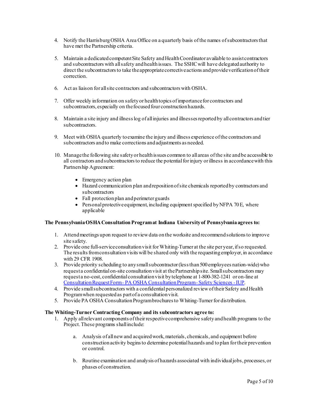- 4. Notify the Harrisburg OSHA Area Office on a quarterly basis of the names of subcontractors that have met the Partnership criteria.
- 5. Maintain a dedicated competent Site Safety and Health Coordinator available to assist contractors and subcontractors with all safety and health issues. The SSHC will have delegated authority to direct the subcontractors to take the appropriate corrective actions and provide verification of their correction.
- 6. Act as liaison for all site contractors and subcontractors with OSHA.
- 7. Offer weekly information on safety or health topics of importance for contractors and subcontractors, especially on the focused four construction hazards.
- 8. Maintain a site injury and illness log of all injuries and illnesses reported by all contractors and tier subcontractors.
- 9. Meet with OSHA quarterly to examine the injury and illness experience of the contractors and subcontractors and to make corrections and adjustments as needed.
- 10. Manage the following site safety or health issues common to all areas ofthe site and be accessible to all contractors and subcontractors to reduce the potential for injury or illness in accordance with this Partnership Agreement:
	- Emergency action plan
	- Hazard communication plan and reposition of site chemicals reported by contractors and subcontractors
	- Fall protection plan and perimeter guards
	- Personal protective equipment, including equipment specified by NFPA 70 E, where applicable

# **The Pennsylvania OSHA Consultation Program at Indiana University of Pennsylvania agrees to:**

- 1. Attend meetings upon request to review data on the worksite and recommend solutions to improve site safety.
- 2. Provide one full-service consultation visit for Whiting-Turner at the site per year, if so requested. The results from consultation visits will be shared only with the requesting employer, in accordance with 29 CFR 1908.
- 3. Provide priority scheduling to any small subcontractor (less than 500 employees nation-wide) who request a confidential on-site consultation visit at the Partnership site. Smallsubcontractors may request a no-cost, confidential consultation visit by telephone at 1-800-382-1241 or on-line at [Consultation Request Form - PA OSHA Consultation Program - Safety Sciences - IUP.](https://www.iup.edu/pa-oshaconsultation/request/)
- 4. Provide small subcontractors with a confidential personalized review of their Safety and Health Program when requested as part of a consultation visit.
- 5. Provide PA OSHA Consultation Program brochures to Whiting-Turner for distribution.

#### **The Whiting-Turner Contracting Company and its subcontractors agree to:**

- 1. Apply all relevant components of their respective comprehensive safety and health programs to the Project. These programs shall include:
	- a. Analysis of all new and acquired work, materials, chemicals, and equipment before construction activity begins to determine potential hazards and to plan for their prevention or control.
	- b. Routine examination and analysis of hazards associated with individual jobs, processes, or phases of construction.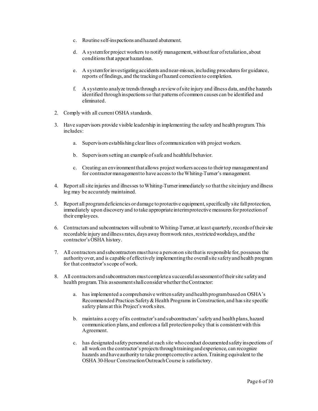- c. Routine self-inspections and hazard abatement.
- d. A system for project workers to notify management, without fear of retaliation, about conditions that appear hazardous.
- e. A system for investigating accidents and near-misses, including procedures for guidance, reports of findings, and the tracking of hazard correction to completion.
- f. A system to analyze trends through a review of site injury and illness data, and the hazards identified through inspections so that patterns of common causes can be identified and eliminated.
- 2. Comply with all current OSHA standards.
- 3. Have supervisors provide visible leadership in implementing the safety and health program. This includes:
	- a. Supervisors establishing clear lines of communication with project workers.
	- b. Supervisors setting an example of safe and healthful behavior.
	- c. Creating an environment that allows project workers access to their top management and for contractor management to have access to the Whiting-Turner's management.
- 4. Report all site injuries and illnesses to Whiting-Turner immediately so that the site injury and illness log may be accurately maintained.
- 5. Report all program deficiencies or damage to protective equipment, specifically site fall protection, immediately upon discovery and to take appropriate interim protective measures for protection of their employees.
- 6. Contractors and subcontractors will submit to Whiting-Turner, at least quarterly, records of their site recordable injury and illness rates, days away from work rates, restricted workdays, and the contractor's OSHA history.
- 7. All contractors and subcontractors must have a person on site that is responsible for, possesses the authority over, and is capable of effectively implementing the overall site safety and health program for that contractor's scope of work.
- 8. All contractors and subcontractors must complete a successful assessment oftheir site safety and health program. This assessment shall considerwhether theContractor:
	- a. has implemented a comprehensive written safety and health program based on OSHA's Recommended Practices Safety & Health Programs in Construction, and has site specific safety plans at this Project's work sites.
	- b. maintains a copy of its contractor's and subcontractors'safety and health plans, hazard communication plans, and enforces a fall protection policy that is consistent with this Agreement.
	- c. has designated safety personnel at each site who conduct documented safety inspections of all work on the contractor's projects through training and experience, can recognize hazards and have authority to take prompt corrective action. Training equivalent to the OSHA 30-Hour Construction Outreach Course is satisfactory.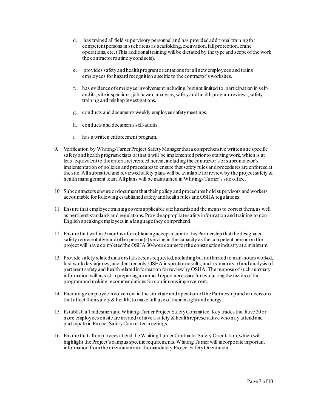- d. has trained all field supervisory personnel and has provided additional training for competent persons in such areas as scaffolding, excavation, fall protection, crane operations, etc. (This additional training will be dictated by the type and scope of the work the contractor routinely conducts).
- e. provides safety and health program orientations for all new employees and trains employees for hazard recognition specific to the contractor's worksites.
- f. has evidence of employee involvement including, but not limited to, participation in selfaudits, site inspections, job hazard analyses, safety and health program reviews, safety training and mishap investigations.
- g. conducts and documents weekly employee safety meetings.
- h. conducts and documents self-audits.
- i. has a written enforcement program.
- 9. Verification by Whiting-Turner Project Safety Manager that a comprehensive written site specific safety and health program exists or that it will be implemented prior to starting work, which is at least equivalent to the criteria referenced herein, including the contractor's or subcontractor's implementation of policies and procedures to ensure that safety rules and procedures are enforced at the site. All submitted and reviewed safety plans will be available for review by the project safety  $\&$ health management team. All plans will be maintained in Whiting- Turner's site office.
- 10. Subcontractors ensure or document that their policy and procedures hold supervisors and workers accountable for following established safety and health rules and OSHA regulations.
- 11. Ensure that employee training covers applicable site hazards and the means to correct them, as well as pertinent standards and regulations. Provide appropriate safety information and training to non-English speaking employees in a languagethey comprehend.
- 12. Ensure that within 3 months after obtaining acceptance into this Partnership that thedesignated safety representative and other person $(s)$  serving in the capacity as the competent person on the project will have completed the OSHA 30-hour course for the construction industry at a minimum.
- 13. Provide safety related data or statistics, as requested, including but not limited to man-hours worked, lost work day injuries, accident records, OSHA inspection results, and a summary of and analysis of pertinent safety and health related information for review by OSHA. The purpose of such summary information will assist in preparing an annual report necessary for evaluating the merits of the program and making recommendations for continuous improvement.
- 14. Encourage employee involvement in the structure and operation of the Partnershipand in decisions that affect their safety & health, to make full use of their insight and energy.
- 15. Establish a Tradesmen and Whiting-Turner Project Safety Committee. Key trades that have 20or more employees onsite are invited to have a safety & health representative who may attend and participate in Project Safety Committee meetings.
- 16. Ensure that all employees attend the Whiting TurnerContractor Safety Orientation, which will highlight the Project's campus specific requirements. Whiting Turnerwill incorporate important information from the orientation into the mandatory Project Safety Orientation.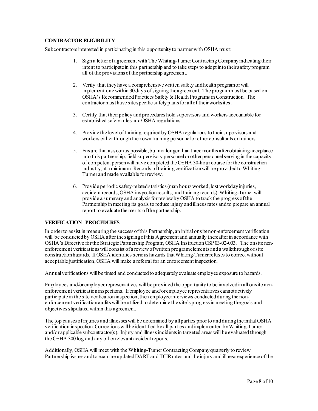# **CONTRACTOR ELIGIBILITY**

Subcontractors interested in participating in this opportunity to partner with OSHA must:

- 1. Sign a letter of agreement with The Whiting-Turner Contracting Company indicating their intent to participate in this partnership and to take steps to adopt into their safety program all of the provisions of the partnership agreement.
- 2. Verify that they have a comprehensive written safety and health program or will implement one within 30 days of signing the agreement. The program must be based on OSHA's Recommended Practices Safety & Health Programs in Construction. The contractor musthave site specific safety plans for all of their worksites.
- 3. Certify that their policy and procedures hold supervisors and workers accountable for established safety rules and OSHA regulations.
- 4. Provide the level of training required by OSHA regulations to their supervisors and workers either through their own training personnel or other consultants or trainers.
- 5. Ensure that as soon as possible, but not longer than three months after obtaining acceptance into this partnership, field supervisory personnel or other personnel serving in the capacity of competent person will have completed the OSHA 30-hour course for the construction industry, at a minimum. Records of training certification will be provided to Whiting-Turner and made available for review.
- 6. Provide periodic safety-related statistics (man hours worked, lost workday injuries, accident records, OSHA inspection results, and training records). Whiting-Turner will provide a summary and analysis for review by OSHA to track the progress of the Partnership in meeting its goals to reduce injury and illness rates and to prepare an annual report to evaluate the merits of the partnership.

# **VERIFICATION PROCEDURES**

In order to assist in measuring the success of this Partnership, an initial onsite non-enforcement verification will be conducted by OSHA after the signing of this Agreement and annually thereafter in accordance with OSHA's Directive for the Strategic Partnership Program, OSHA Instruction CSP 03-02-003. The onsite nonenforcement verifications will consist of a review of written program elements and a walkthrough of site construction hazards. If OSHA identifies serious hazards that Whiting-Turner refuses to correct without acceptable justification, OSHA will make a referral for an enforcement inspection.

Annual verifications will be timed and conducted to adequately evaluate employee exposure to hazards.

Employees and/or employee representatives will be provided the opportunity to be involved in all onsite nonenforcement verification inspections. If employee and/or employee representatives cannot actively participate in the site verification inspection, then employee interviews conducted during the nonenforcement verification audits will be utilized to determine the site's progress in meeting the goals and objectives stipulated within this agreement.

The top causes of injuries and illnesses will be determined by all parties prior to and during the initialOSHA verification inspection. Corrections will be identified by all parties and implemented by Whiting-Turner and/or applicable subcontractor(s). Injury and illness incidentsin targeted areas will be evaluated through the OSHA 300 log and any other relevant accident reports.

Additionally, OSHA will meet with the Whiting-Turner Contracting Companyquarterly to review Partnership issues and to examine updated DART and TCIR rates and the injury and illness experience of the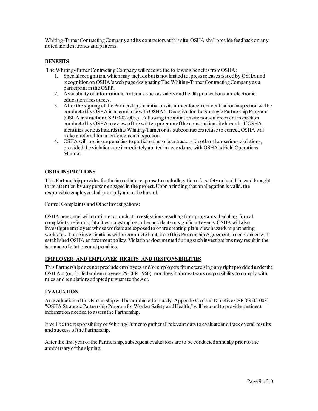Whiting-Turner Contracting Company and its contractors at this site. OSHA shall provide feedback on any noted incident trends and patterns.

# **BENEFITS**

The Whiting-Turner Contracting Company will receive the following benefits from OSHA:

- 1. Special recognition, which may include but is not limited to, press releases issued by OSHA and recognition on OSHA's web page designating The Whiting-Turner Contracting Company as a participant in the OSPP.
- 2. Availability of informational materials such as safety and health publications and electronic educational resources.
- 3. After the signing of the Partnership, an initial onsite non-enforcement verification inspection will be conducted by OSHA in accordance with OSHA's Directive for the Strategic Partnership Program (OSHA instruction CSP 03-02-003.) Following the initial onsite non-enforcement inspection conducted by OSHA a review of the written program of the construction site hazards. If OSHA identifies serious hazards that Whiting-Turner or its subcontractors refuse to correct, OSHA will make a referral for an enforcement inspection.
- 4. OSHA will not issue penalties to participating subcontractors for other-than-serious violations, provided the violations are immediately abatedin accordance with OSHA's Field Operations Manual.

# **OSHA INSPECTIONS**

This Partnership provides for the immediate response to each allegation of a safety or health hazard brought to its attention by any personengaged in the project. Upon a finding that an allegation is valid, the responsible employer shall promptly abate the hazard.

Formal Complaints and Other Investigations:

OSHA personnel will continue to conduct investigations resulting from program scheduling, formal complaints, referrals, fatalities, catastrophes, other accidents or significant events. OSHA will also investigate employers whose workers are exposed to or are creating plain view hazards at partnering worksites. These investigations will be conducted outside of this Partnership Agreement in accordance with established OSHA enforcement policy. Violations documented during such investigations may result in the issuance of citations and penalties.

#### **EMPLOYER AND EMPLOYEE RIGHTS AND RESPONSIBILITIES**

This Partnership does not preclude employees and/or employers from exercising any right provided under the OSH Act (or, for federal employees, 29 CFR 1960), nor does it abrogate any responsibility to comply with rules and regulations adopted pursuant to the Act.

#### **EVALUATION**

An evaluation of this Partnership will be conducted annually. Appendix C of the Directive CSP [03-02-003], "OSHA Strategic Partnership Program for Worker Safety and Health," will be used to provide pertinent information needed to assess the Partnership.

It will be the responsibility of Whiting-Turner to gather all relevant data to evaluate and track overall results and success of the Partnership.

After the first year of the Partnership, subsequent evaluations are to be conducted annually prior to the anniversary of the signing.